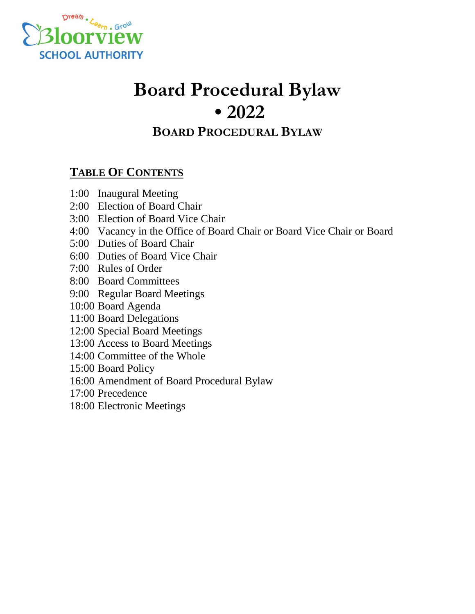

# **Board Procedural Bylaw • 2022**

# **BOARD PROCEDURAL BYLAW**

## **TABLE OF CONTENTS**

- 1:00 Inaugural Meeting
- 2:00 Election of Board Chair
- 3:00 Election of Board Vice Chair
- 4:00 Vacancy in the Office of Board Chair or Board Vice Chair or Board
- 5:00 Duties of Board Chair
- 6:00 Duties of Board Vice Chair
- 7:00 Rules of Order
- 8:00 Board Committees
- 9:00 Regular Board Meetings
- 10:00 Board Agenda
- 11:00 Board Delegations
- 12:00 Special Board Meetings
- 13:00 Access to Board Meetings
- 14:00 Committee of the Whole
- 15:00 Board Policy
- 16:00 Amendment of Board Procedural Bylaw
- 17:00 Precedence
- 18:00 Electronic Meetings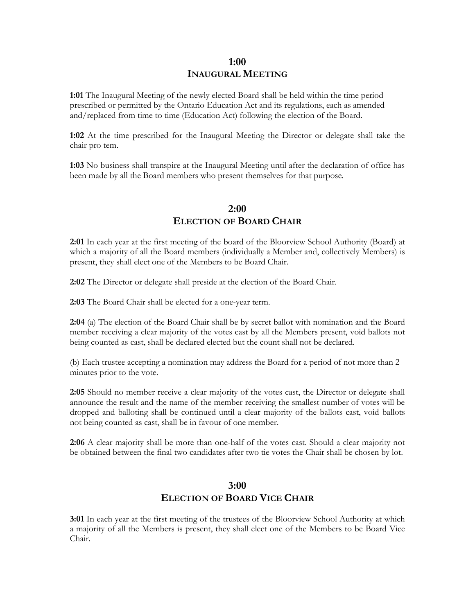## **1:00 INAUGURAL MEETING**

**1:01** The Inaugural Meeting of the newly elected Board shall be held within the time period prescribed or permitted by the Ontario Education Act and its regulations, each as amended and/replaced from time to time (Education Act) following the election of the Board.

**1:02** At the time prescribed for the Inaugural Meeting the Director or delegate shall take the chair pro tem.

**1:03** No business shall transpire at the Inaugural Meeting until after the declaration of office has been made by all the Board members who present themselves for that purpose.

## **2:00 ELECTION OF BOARD CHAIR**

**2:01** In each year at the first meeting of the board of the Bloorview School Authority (Board) at which a majority of all the Board members (individually a Member and, collectively Members) is present, they shall elect one of the Members to be Board Chair.

**2:02** The Director or delegate shall preside at the election of the Board Chair.

**2:03** The Board Chair shall be elected for a one-year term.

**2:04** (a) The election of the Board Chair shall be by secret ballot with nomination and the Board member receiving a clear majority of the votes cast by all the Members present, void ballots not being counted as cast, shall be declared elected but the count shall not be declared.

(b) Each trustee accepting a nomination may address the Board for a period of not more than 2 minutes prior to the vote.

**2:05** Should no member receive a clear majority of the votes cast, the Director or delegate shall announce the result and the name of the member receiving the smallest number of votes will be dropped and balloting shall be continued until a clear majority of the ballots cast, void ballots not being counted as cast, shall be in favour of one member.

**2:06** A clear majority shall be more than one-half of the votes cast. Should a clear majority not be obtained between the final two candidates after two tie votes the Chair shall be chosen by lot.

## **3:00 ELECTION OF BOARD VICE CHAIR**

**3:01** In each year at the first meeting of the trustees of the Bloorview School Authority at which a majority of all the Members is present, they shall elect one of the Members to be Board Vice Chair.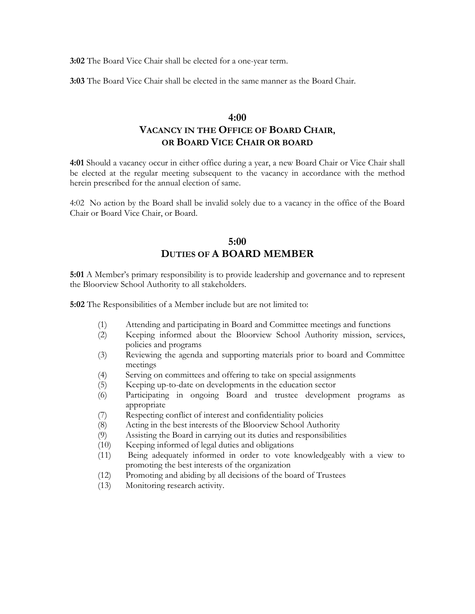**3:02** The Board Vice Chair shall be elected for a one-year term.

**3:03** The Board Vice Chair shall be elected in the same manner as the Board Chair.

## **4:00 VACANCY IN THE OFFICE OF BOARD CHAIR, OR BOARD VICE CHAIR OR BOARD**

**4:01** Should a vacancy occur in either office during a year, a new Board Chair or Vice Chair shall be elected at the regular meeting subsequent to the vacancy in accordance with the method herein prescribed for the annual election of same.

4:02 No action by the Board shall be invalid solely due to a vacancy in the office of the Board Chair or Board Vice Chair, or Board.

#### **5:00 DUTIES OF A BOARD MEMBER**

**5:01** A Member's primary responsibility is to provide leadership and governance and to represent the Bloorview School Authority to all stakeholders.

**5:02** The Responsibilities of a Member include but are not limited to:

- (1) Attending and participating in Board and Committee meetings and functions
- (2) Keeping informed about the Bloorview School Authority mission, services, policies and programs
- (3) Reviewing the agenda and supporting materials prior to board and Committee meetings
- (4) Serving on committees and offering to take on special assignments
- (5) Keeping up-to-date on developments in the education sector
- (6) Participating in ongoing Board and trustee development programs as appropriate
- (7) Respecting conflict of interest and confidentiality policies
- (8) Acting in the best interests of the Bloorview School Authority
- (9) Assisting the Board in carrying out its duties and responsibilities
- (10) Keeping informed of legal duties and obligations
- (11) Being adequately informed in order to vote knowledgeably with a view to promoting the best interests of the organization
- (12) Promoting and abiding by all decisions of the board of Trustees
- (13) Monitoring research activity.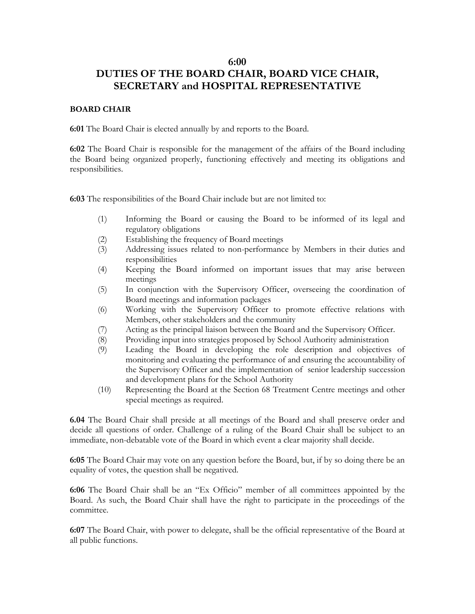#### **6:00**

## **DUTIES OF THE BOARD CHAIR, BOARD VICE CHAIR, SECRETARY and HOSPITAL REPRESENTATIVE**

#### **BOARD CHAIR**

**6:01** The Board Chair is elected annually by and reports to the Board.

**6:02** The Board Chair is responsible for the management of the affairs of the Board including the Board being organized properly, functioning effectively and meeting its obligations and responsibilities.

**6:03** The responsibilities of the Board Chair include but are not limited to:

- (1) Informing the Board or causing the Board to be informed of its legal and regulatory obligations
- (2) Establishing the frequency of Board meetings
- (3) Addressing issues related to non-performance by Members in their duties and responsibilities
- (4) Keeping the Board informed on important issues that may arise between meetings
- (5) In conjunction with the Supervisory Officer, overseeing the coordination of Board meetings and information packages
- (6) Working with the Supervisory Officer to promote effective relations with Members, other stakeholders and the community
- (7) Acting as the principal liaison between the Board and the Supervisory Officer.
- (8) Providing input into strategies proposed by School Authority administration
- (9) Leading the Board in developing the role description and objectives of monitoring and evaluating the performance of and ensuring the accountability of the Supervisory Officer and the implementation of senior leadership succession and development plans for the School Authority
- (10) Representing the Board at the Section 68 Treatment Centre meetings and other special meetings as required.

**6.04** The Board Chair shall preside at all meetings of the Board and shall preserve order and decide all questions of order. Challenge of a ruling of the Board Chair shall be subject to an immediate, non-debatable vote of the Board in which event a clear majority shall decide.

**6:05** The Board Chair may vote on any question before the Board, but, if by so doing there be an equality of votes, the question shall be negatived.

**6:06** The Board Chair shall be an "Ex Officio" member of all committees appointed by the Board. As such, the Board Chair shall have the right to participate in the proceedings of the committee.

**6:07** The Board Chair, with power to delegate, shall be the official representative of the Board at all public functions.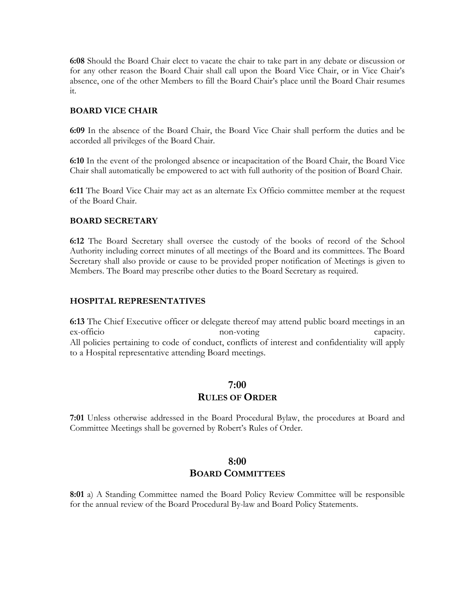**6:08** Should the Board Chair elect to vacate the chair to take part in any debate or discussion or for any other reason the Board Chair shall call upon the Board Vice Chair, or in Vice Chair's absence, one of the other Members to fill the Board Chair's place until the Board Chair resumes it.

#### **BOARD VICE CHAIR**

**6:09** In the absence of the Board Chair, the Board Vice Chair shall perform the duties and be accorded all privileges of the Board Chair.

**6:10** In the event of the prolonged absence or incapacitation of the Board Chair, the Board Vice Chair shall automatically be empowered to act with full authority of the position of Board Chair.

**6:11** The Board Vice Chair may act as an alternate Ex Officio committee member at the request of the Board Chair.

#### **BOARD SECRETARY**

**6:12** The Board Secretary shall oversee the custody of the books of record of the School Authority including correct minutes of all meetings of the Board and its committees. The Board Secretary shall also provide or cause to be provided proper notification of Meetings is given to Members. The Board may prescribe other duties to the Board Secretary as required.

#### **HOSPITAL REPRESENTATIVES**

**6:13** The Chief Executive officer or delegate thereof may attend public board meetings in an ex-officio non-voting capacity. All policies pertaining to code of conduct, conflicts of interest and confidentiality will apply to a Hospital representative attending Board meetings.

#### **7:00**

#### **RULES OF ORDER**

**7:01** Unless otherwise addressed in the Board Procedural Bylaw, the procedures at Board and Committee Meetings shall be governed by Robert's Rules of Order.

## **8:00 BOARD COMMITTEES**

**8:01** a) A Standing Committee named the Board Policy Review Committee will be responsible for the annual review of the Board Procedural By-law and Board Policy Statements.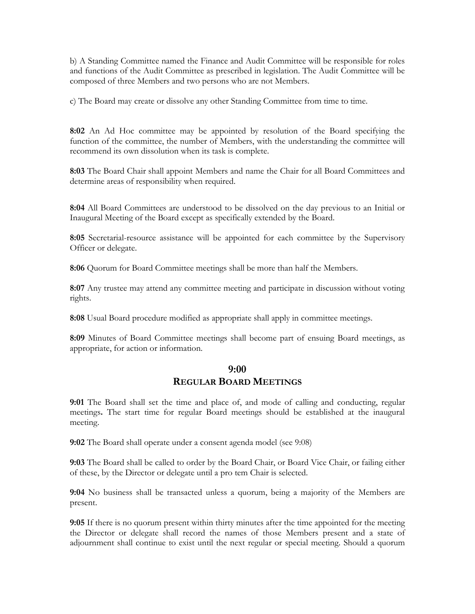b) A Standing Committee named the Finance and Audit Committee will be responsible for roles and functions of the Audit Committee as prescribed in legislation. The Audit Committee will be composed of three Members and two persons who are not Members.

c) The Board may create or dissolve any other Standing Committee from time to time.

**8:02** An Ad Hoc committee may be appointed by resolution of the Board specifying the function of the committee, the number of Members, with the understanding the committee will recommend its own dissolution when its task is complete.

**8:03** The Board Chair shall appoint Members and name the Chair for all Board Committees and determine areas of responsibility when required.

**8:04** All Board Committees are understood to be dissolved on the day previous to an Initial or Inaugural Meeting of the Board except as specifically extended by the Board.

**8:05** Secretarial-resource assistance will be appointed for each committee by the Supervisory Officer or delegate.

**8:06** Quorum for Board Committee meetings shall be more than half the Members.

**8:07** Any trustee may attend any committee meeting and participate in discussion without voting rights.

**8:08** Usual Board procedure modified as appropriate shall apply in committee meetings.

**8:09** Minutes of Board Committee meetings shall become part of ensuing Board meetings, as appropriate, for action or information.

### **9:00 REGULAR BOARD MEETINGS**

**9:01** The Board shall set the time and place of, and mode of calling and conducting, regular meetings**.** The start time for regular Board meetings should be established at the inaugural meeting.

**9:02** The Board shall operate under a consent agenda model (see 9:08)

**9:03** The Board shall be called to order by the Board Chair, or Board Vice Chair, or failing either of these, by the Director or delegate until a pro tem Chair is selected.

**9:04** No business shall be transacted unless a quorum, being a majority of the Members are present.

**9:05** If there is no quorum present within thirty minutes after the time appointed for the meeting the Director or delegate shall record the names of those Members present and a state of adjournment shall continue to exist until the next regular or special meeting. Should a quorum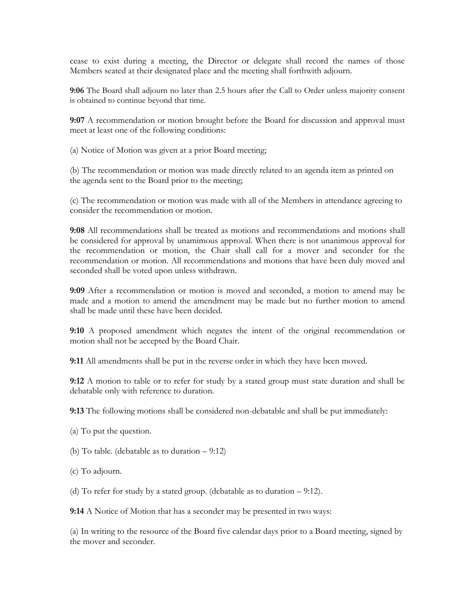cease to exist during a meeting, the Director or delegate shall record the names of those Members seated at their designated place and the meeting shall forthwith adjourn.

**9:06** The Board shall adjourn no later than 2.5 hours after the Call to Order unless majority consent is obtained to continue beyond that time.

**9:07** A recommendation or motion brought before the Board for discussion and approval must meet at least one of the following conditions:

(a) Notice of Motion was given at a prior Board meeting;

(b) The recommendation or motion was made directly related to an agenda item as printed on the agenda sent to the Board prior to the meeting;

(c) The recommendation or motion was made with all of the Members in attendance agreeing to consider the recommendation or motion.

**9:08** All recommendations shall be treated as motions and recommendations and motions shall be considered for approval by unamimous approval. When there is not unanimous approval for the recommendation or motion, the Chair shall call for a mover and seconder for the recommendation or motion. All recommendations and motions that have been duly moved and seconded shall be voted upon unless withdrawn.

**9:09** After a recommendation or motion is moved and seconded, a motion to amend may be made and a motion to amend the amendment may be made but no further motion to amend shall be made until these have been decided.

**9:10** A proposed amendment which negates the intent of the original recommendation or motion shall not be accepted by the Board Chair.

**9:11** All amendments shall be put in the reverse order in which they have been moved.

**9:12** A motion to table or to refer for study by a stated group must state duration and shall be debatable only with reference to duration.

**9:13** The following motions shall be considered non-debatable and shall be put immediately:

- (a) To put the question.
- (b) To table. (debatable as to duration 9:12)
- (c) To adjourn.
- (d) To refer for study by a stated group. (debatable as to duration 9:12).

**9:14** A Notice of Motion that has a seconder may be presented in two ways:

(a) In writing to the resource of the Board five calendar days prior to a Board meeting, signed by the mover and seconder.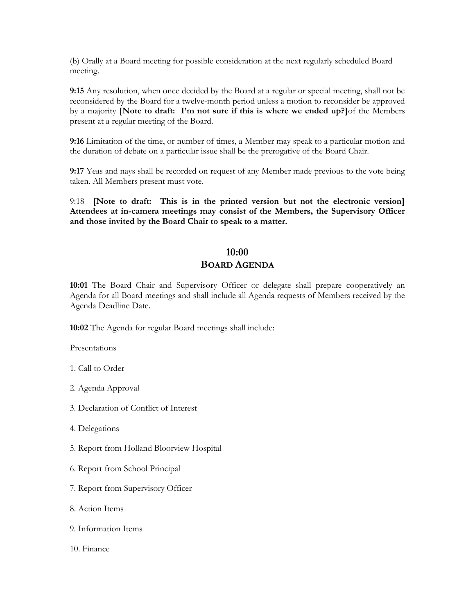(b) Orally at a Board meeting for possible consideration at the next regularly scheduled Board meeting.

**9:15** Any resolution, when once decided by the Board at a regular or special meeting, shall not be reconsidered by the Board for a twelve-month period unless a motion to reconsider be approved by a majority **[Note to draft: I'm not sure if this is where we ended up?]**of the Members present at a regular meeting of the Board.

**9:16** Limitation of the time, or number of times, a Member may speak to a particular motion and the duration of debate on a particular issue shall be the prerogative of the Board Chair.

**9:17** Yeas and nays shall be recorded on request of any Member made previous to the vote being taken. All Members present must vote.

9:18 **[Note to draft: This is in the printed version but not the electronic version] Attendees at in-camera meetings may consist of the Members, the Supervisory Officer and those invited by the Board Chair to speak to a matter.**

## **10:00**

#### **BOARD AGENDA**

**10:01** The Board Chair and Supervisory Officer or delegate shall prepare cooperatively an Agenda for all Board meetings and shall include all Agenda requests of Members received by the Agenda Deadline Date.

**10:02** The Agenda for regular Board meetings shall include:

Presentations

- 1. Call to Order
- 2. Agenda Approval
- 3. Declaration of Conflict of Interest
- 4. Delegations
- 5. Report from Holland Bloorview Hospital
- 6. Report from School Principal
- 7. Report from Supervisory Officer
- 8. Action Items
- 9. Information Items
- 10. Finance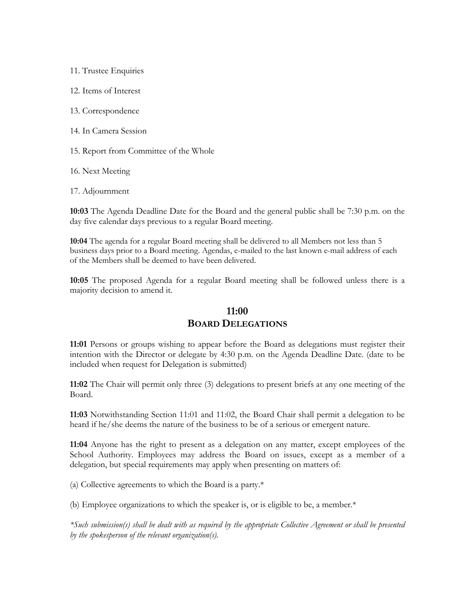11. Trustee Enquiries 12. Items of Interest 13. Correspondence 14. In Camera Session 15. Report from Committee of the Whole 16. Next Meeting

17. Adjournment

**10:03** The Agenda Deadline Date for the Board and the general public shall be 7:30 p.m. on the day five calendar days previous to a regular Board meeting.

**10:04** The agenda for a regular Board meeting shall be delivered to all Members not less than 5 business days prior to a Board meeting. Agendas, e-mailed to the last known e-mail address of each of the Members shall be deemed to have been delivered.

**10:05** The proposed Agenda for a regular Board meeting shall be followed unless there is a majority decision to amend it.

## **11:00 BOARD DELEGATIONS**

**11:01** Persons or groups wishing to appear before the Board as delegations must register their intention with the Director or delegate by 4:30 p.m. on the Agenda Deadline Date. (date to be included when request for Delegation is submitted)

**11:02** The Chair will permit only three (3) delegations to present briefs at any one meeting of the Board.

**11:03** Notwithstanding Section 11:01 and 11:02, the Board Chair shall permit a delegation to be heard if he/she deems the nature of the business to be of a serious or emergent nature.

**11:04** Anyone has the right to present as a delegation on any matter, except employees of the School Authority. Employees may address the Board on issues, except as a member of a delegation, but special requirements may apply when presenting on matters of:

(a) Collective agreements to which the Board is a party.\*

(b) Employee organizations to which the speaker is, or is eligible to be, a member.\*

*\*Such submission(s) shall be dealt with as required by the appropriate Collective Agreement or shall be presented by the spokesperson of the relevant organization(s).*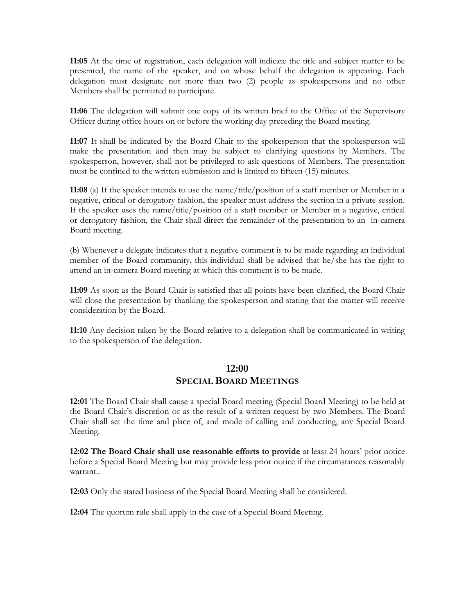**11:05** At the time of registration, each delegation will indicate the title and subject matter to be presented, the name of the speaker, and on whose behalf the delegation is appearing. Each delegation must designate not more than two (2) people as spokespersons and no other Members shall be permitted to participate.

**11:06** The delegation will submit one copy of its written brief to the Office of the Supervisory Officer during office hours on or before the working day preceding the Board meeting.

**11:07** It shall be indicated by the Board Chair to the spokesperson that the spokesperson will make the presentation and then may be subject to clarifying questions by Members. The spokesperson, however, shall not be privileged to ask questions of Members. The presentation must be confined to the written submission and is limited to fifteen (15) minutes.

**11:08** (a) If the speaker intends to use the name/title/position of a staff member or Member in a negative, critical or derogatory fashion, the speaker must address the section in a private session. If the speaker uses the name/title/position of a staff member or Member in a negative, critical or derogatory fashion, the Chair shall direct the remainder of the presentation to an in-camera Board meeting.

(b) Whenever a delegate indicates that a negative comment is to be made regarding an individual member of the Board community, this individual shall be advised that he/she has the right to attend an in-camera Board meeting at which this comment is to be made.

**11:09** As soon as the Board Chair is satisfied that all points have been clarified, the Board Chair will close the presentation by thanking the spokesperson and stating that the matter will receive consideration by the Board.

**11:10** Any decision taken by the Board relative to a delegation shall be communicated in writing to the spokesperson of the delegation.

## **12:00**

## **SPECIAL BOARD MEETINGS**

**12:01** The Board Chair shall cause a special Board meeting (Special Board Meeting) to be held at the Board Chair's discretion or as the result of a written request by two Members. The Board Chair shall set the time and place of, and mode of calling and conducting, any Special Board Meeting.

**12:02 The Board Chair shall use reasonable efforts to provide** at least 24 hours' prior notice before a Special Board Meeting but may provide less prior notice if the circumstances reasonably warrant..

**12:03** Only the stated business of the Special Board Meeting shall be considered.

**12:04** The quorum rule shall apply in the case of a Special Board Meeting.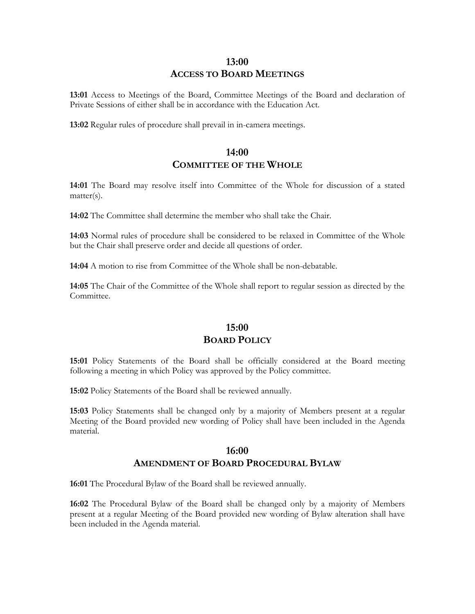## **13:00 ACCESS TO BOARD MEETINGS**

**13:01** Access to Meetings of the Board, Committee Meetings of the Board and declaration of Private Sessions of either shall be in accordance with the Education Act.

**13:02** Regular rules of procedure shall prevail in in-camera meetings.

#### **14:00 COMMITTEE OF THE WHOLE**

**14:01** The Board may resolve itself into Committee of the Whole for discussion of a stated matter(s).

**14:02** The Committee shall determine the member who shall take the Chair.

**14:03** Normal rules of procedure shall be considered to be relaxed in Committee of the Whole but the Chair shall preserve order and decide all questions of order.

**14:04** A motion to rise from Committee of the Whole shall be non-debatable.

**14:05** The Chair of the Committee of the Whole shall report to regular session as directed by the Committee.

### **15:00 BOARD POLICY**

**15:01** Policy Statements of the Board shall be officially considered at the Board meeting following a meeting in which Policy was approved by the Policy committee.

**15:02** Policy Statements of the Board shall be reviewed annually.

**15:03** Policy Statements shall be changed only by a majority of Members present at a regular Meeting of the Board provided new wording of Policy shall have been included in the Agenda material.

#### **16:00 AMENDMENT OF BOARD PROCEDURAL BYLAW**

**16:01** The Procedural Bylaw of the Board shall be reviewed annually.

**16:02** The Procedural Bylaw of the Board shall be changed only by a majority of Members present at a regular Meeting of the Board provided new wording of Bylaw alteration shall have been included in the Agenda material.